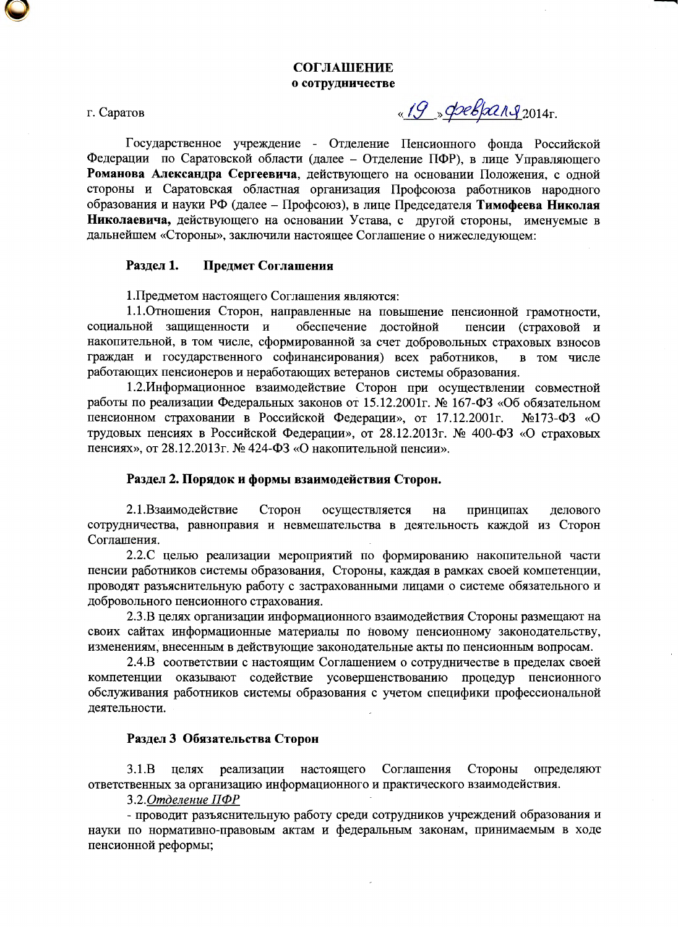г. Саратов

«19 » pelparg<sub>2014</sub>.

Государственное учреждение - Отделение Пенсионного фонда Российской Федерации по Саратовской области (далее – Отделение ПФР), в лице Управляющего Романова Александра Сергеевича, действующего на основании Положения, с одной стороны и Саратовская областная организация Профсоюза работников народного образования и науки РФ (далее - Профсоюз), в лице Председателя Тимофеева Николая Николаевича, действующего на основании Устава, с другой стороны, именуемые в дальнейшем «Стороны», заключили настоящее Соглашение о нижеследующем:

#### Разлел 1. Предмет Соглашения

1. Предметом настоящего Соглашения являются:

1.1. Отношения Сторон, направленные на повышение пенсионной грамотности, социальной защищенности и обеспечение достойной пенсии (страховой и накопительной, в том числе, сформированной за счет добровольных страховых взносов граждан и государственного софинансирования) всех работников, в том числе работающих пенсионеров и неработающих ветеранов системы образования.

1.2. Информационное взаимодействие Сторон при осуществлении совместной работы по реализации Федеральных законов от 15.12.2001г. № 167-ФЗ «Об обязательном пенсионном страховании в Российской Федерации», от 17.12.2001г.  $N<sub>2</sub>173- $\Phi$ 3  $\kappa$ O$ трудовых пенсиях в Российской Федерации», от 28.12.2013г. № 400-ФЗ «О страховых пенсиях», от 28.12.2013г. № 424-ФЗ «О накопительной пенсии».

# Раздел 2. Порядок и формы взаимодействия Сторон.

2.1.Взаимодействие Сторон осуществляется на принципах делового сотрудничества, равноправия и невмешательства в деятельность каждой из Сторон Соглашения.

2.2.С целью реализации мероприятий по формированию накопительной части пенсии работников системы образования, Стороны, каждая в рамках своей компетенции, проводят разъяснительную работу с застрахованными лицами о системе обязательного и добровольного пенсионного страхования.

2.3.В целях организации информационного взаимодействия Стороны размещают на своих сайтах информационные материалы по новому пенсионному законодательству, изменениям, внесенным в действующие законодательные акты по пенсионным вопросам.

2.4.В соответствии с настоящим Соглашением о сотрудничестве в пределах своей компетенции оказывают содействие усовершенствованию процедур пенсионного обслуживания работников системы образования с учетом специфики профессиональной деятельности.

# Раздел 3 Обязательства Сторон

определяют  $3.1.B$ реализации настоящего Соглашения Стороны целях ответственных за организацию информационного и практического взаимодействия.

3.2. Отделение ПФР

- проводит разъяснительную работу среди сотрудников учреждений образования и науки по нормативно-правовым актам и федеральным законам, принимаемым в ходе пенсионной реформы;